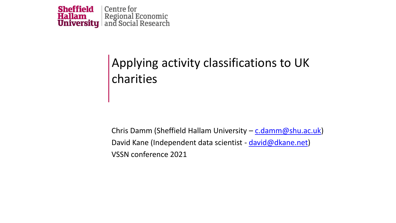

#### Applying activity classifications to UK charities

Chris Damm (Sheffield Hallam University –  $c$ .damm@shu.ac.uk) David Kane (Independent data scientist - [david@dkane.net\)](mailto:david@dkane.net) VSSN conference 2021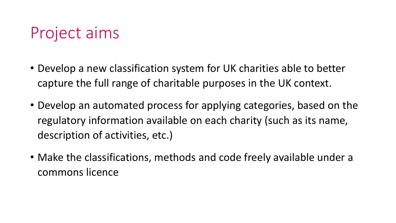## Project aims

- Develop a new classification system for UK charities able to better capture the full range of charitable purposes in the UK context.
- Develop an automated process for applying categories, based on the regulatory information available on each charity (such as its name, description of activities, etc.)
- Make the classifications, methods and code freely available under a commons licence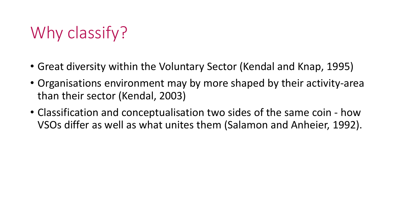# Why classify?

- Great diversity within the Voluntary Sector (Kendal and Knap, 1995)
- Organisations environment may by more shaped by their activity-area than their sector (Kendal, 2003)
- Classification and conceptualisation two sides of the same coin how VSOs differ as well as what unites them (Salamon and Anheier, 1992).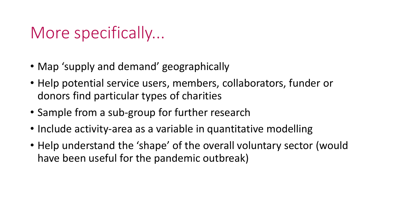### More specifically...

- Map 'supply and demand' geographically
- Help potential service users, members, collaborators, funder or donors find particular types of charities
- Sample from a sub-group for further research
- Include activity-area as a variable in quantitative modelling
- Help understand the 'shape' of the overall voluntary sector (would have been useful for the pandemic outbreak)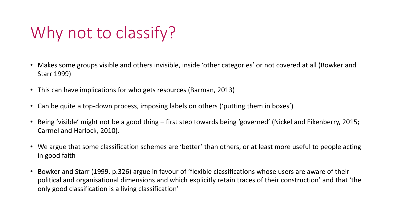## Why not to classify?

- Makes some groups visible and others invisible, inside 'other categories' or not covered at all (Bowker and Starr 1999)
- This can have implications for who gets resources (Barman, 2013)
- Can be quite a top-down process, imposing labels on others ('putting them in boxes')
- Being 'visible' might not be a good thing first step towards being 'governed' (Nickel and Eikenberry, 2015; Carmel and Harlock, 2010).
- We argue that some classification schemes are 'better' than others, or at least more useful to people acting in good faith
- Bowker and Starr (1999, p.326) argue in favour of 'flexible classifications whose users are aware of their political and organisational dimensions and which explicitly retain traces of their construction' and that 'the only good classification is a living classification'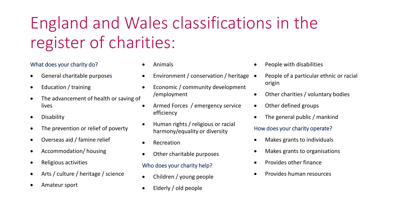# England and Wales classifications in the register of charities:

#### What does your charity do?

- General charitable purposes
- Education / training
- The advancement of health or saving of lives
- **Disability**
- The prevention or relief of poverty
- Overseas aid / famine relief
- Accommodation/ housing
- Religious activities
- Arts / culture / heritage / science
- Amateur sport
- Animals
- Environment / conservation / heritage
- Economic / community development /employment
- Armed Forces / emergency service efficiency
- Human rights / religious or racial harmony/equality or diversity
- **Recreation**
- Other charitable purposes

#### Who does your charity help?

- Children / young people
- Elderly / old people
- People with disabilities
- People of a particular ethnic or racial origin
- Other charities / voluntary bodies
- Other defined groups
- The general public / mankind

#### How does your charity operate?

- Makes grants to individuals
- Makes grants to organisations
- Provides other finance
- Provides human resources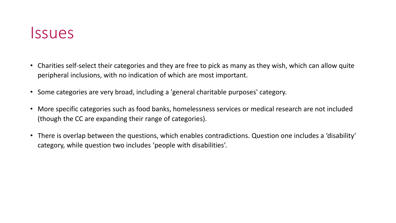#### Issues

- Charities self-select their categories and they are free to pick as many as they wish, which can allow quite peripheral inclusions, with no indication of which are most important.
- Some categories are very broad, including a 'general charitable purposes' category.
- More specific categories such as food banks, homelessness services or medical research are not included (though the CC are expanding their range of categories).
- There is overlap between the questions, which enables contradictions. Question one includes a 'disability' category, while question two includes 'people with disabilities'.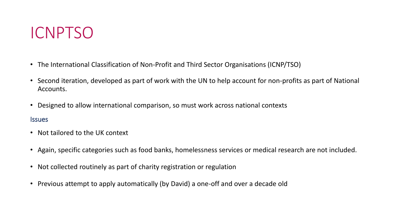

- The International Classification of Non-Profit and Third Sector Organisations (ICNP/TSO)
- Second iteration, developed as part of work with the UN to help account for non-profits as part of National Accounts.
- Designed to allow international comparison, so must work across national contexts

#### **Issues**

- Not tailored to the UK context
- Again, specific categories such as food banks, homelessness services or medical research are not included.
- Not collected routinely as part of charity registration or regulation
- Previous attempt to apply automatically (by David) a one-off and over a decade old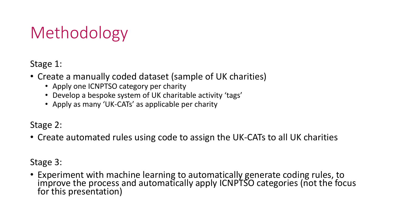## Methodology

Stage 1:

- Create a manually coded dataset (sample of UK charities)
	- Apply one ICNPTSO category per charity
	- Develop a bespoke system of UK charitable activity 'tags'
	- Apply as many 'UK-CATs' as applicable per charity

Stage 2:

• Create automated rules using code to assign the UK-CATs to all UK charities

Stage 3:

• Experiment with machine learning to automatically generate coding rules, to improve the process and automatically apply ICNPTSO categories (not the focus for this presentation)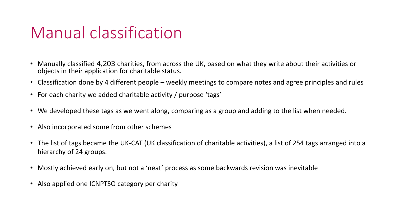## Manual classification

- Manually classified 4,203 charities, from across the UK, based on what they write about their activities or objects in their application for charitable status.
- Classification done by 4 different people weekly meetings to compare notes and agree principles and rules
- For each charity we added charitable activity / purpose 'tags'
- We developed these tags as we went along, comparing as a group and adding to the list when needed.
- Also incorporated some from other schemes
- The list of tags became the UK-CAT (UK classification of charitable activities), a list of 254 tags arranged into a hierarchy of 24 groups.
- Mostly achieved early on, but not a 'neat' process as some backwards revision was inevitable
- Also applied one ICNPTSO category per charity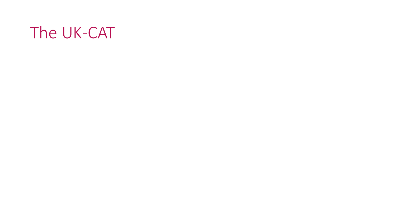### The UK-CAT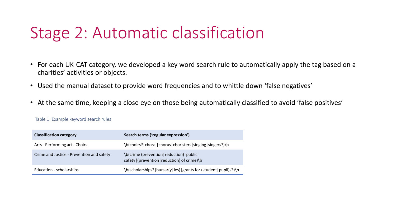## Stage 2: Automatic classification

- For each UK-CAT category, we developed a key word search rule to automatically apply the tag based on a charities' activities or objects.
- Used the manual dataset to provide word frequencies and to whittle down 'false negatives'
- At the same time, keeping a close eye on those being automatically classified to avoid 'false positives'

| <b>Classification category</b>            | Search terms ('regular expression')                                                          |
|-------------------------------------------|----------------------------------------------------------------------------------------------|
| Arts - Performing art - Choirs            | \b(choirs? choral chorus choristers singing singers?)\b                                      |
| Crime and Justice - Prevention and safety | \b(crime (prevention   reduction)   public<br>safety   (prevention   reduction) of crime) \b |
| Education - scholarships                  | \b(scholarships? bursar(y ies) grants for (student pupil)s?)\b                               |

Table 1: Example keyword search rules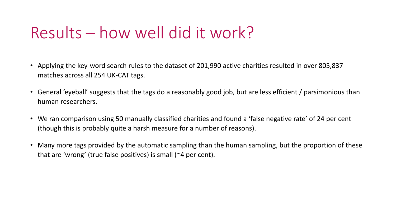## Results – how well did it work?

- Applying the key-word search rules to the dataset of 201,990 active charities resulted in over 805,837 matches across all 254 UK-CAT tags.
- General 'eyeball' suggests that the tags do a reasonably good job, but are less efficient / parsimonious than human researchers.
- We ran comparison using 50 manually classified charities and found a 'false negative rate' of 24 per cent (though this is probably quite a harsh measure for a number of reasons).
- Many more tags provided by the automatic sampling than the human sampling, but the proportion of these that are 'wrong' (true false positives) is small (~4 per cent).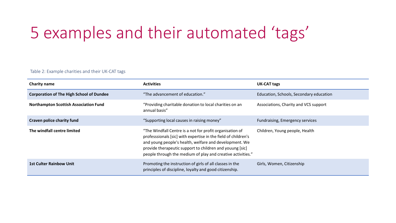## 5 examples and their automated 'tags'

#### Table 2: Example charities and their UK-CAT tags

| <b>Charity name</b>                             | <b>Activities</b>                                                                                                                                                                                                                                                                                               | <b>UK-CAT tags</b>                      |  |
|-------------------------------------------------|-----------------------------------------------------------------------------------------------------------------------------------------------------------------------------------------------------------------------------------------------------------------------------------------------------------------|-----------------------------------------|--|
| <b>Corporation of The High School of Dundee</b> | "The advancement of education."                                                                                                                                                                                                                                                                                 | Education, Schools, Secondary education |  |
| <b>Northampton Scottish Association Fund</b>    | "Providing charitable donation to local charities on an<br>annual basis"                                                                                                                                                                                                                                        | Associations, Charity and VCS support   |  |
| Craven police charity fund                      | "Supporting local causes in raising money"                                                                                                                                                                                                                                                                      | Fundraising, Emergency services         |  |
| The windfall centre limited                     | "The Windfall Centre is a not for profit organisation of<br>professsionals [sic] with expertise in the field of children's<br>and young people's health, welfare and development. We<br>provide therapeutic support to children and youung [sic]<br>people through the medium of play and creative activities." | Children, Young people, Health          |  |
| <b>1st Culter Rainbow Unit</b>                  | Promoting the instruction of girls of all classes in the<br>principles of discipline, loyalty and good citizenship.                                                                                                                                                                                             | Girls, Women, Citizenship               |  |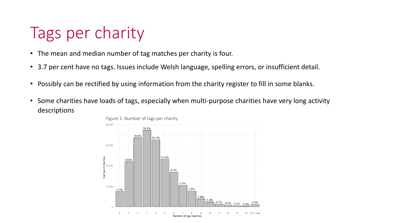## Tags per charity

- The mean and median number of tag matches per charity is four.
- 3.7 per cent have no tags. Issues include Welsh language, spelling errors, or insufficient detail.
- Possibly can be rectified by using information from the charity register to fill in some blanks.
- Some charities have loads of tags, especially when multi-purpose charities have very long activity descriptions

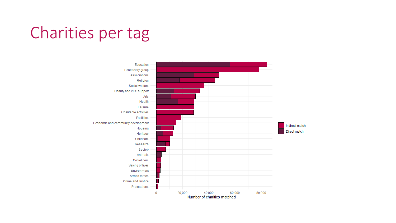## Charities per tag

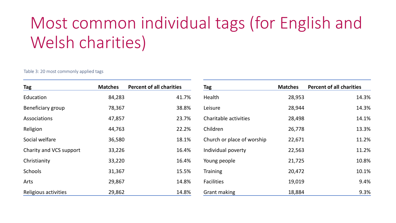# Most common individual tags (for English and Welsh charities)

Table 3: 20 most commonly applied tags

| Tag                     | <b>Matches</b> | <b>Percent of all charities</b> | Tag                        | <b>Matches</b> | <b>Percent of all charities</b> |
|-------------------------|----------------|---------------------------------|----------------------------|----------------|---------------------------------|
| Education               | 84,283         | 41.7%                           | Health                     | 28,953         | 14.3%                           |
| Beneficiary group       | 78,367         | 38.8%                           | Leisure                    | 28,944         | 14.3%                           |
| Associations            | 47,857         | 23.7%                           | Charitable activities      | 28,498         | 14.1%                           |
| Religion                | 44,763         | 22.2%                           | Children                   | 26,778         | 13.3%                           |
| Social welfare          | 36,580         | 18.1%                           | Church or place of worship | 22,671         | 11.2%                           |
| Charity and VCS support | 33,226         | 16.4%                           | Individual poverty         | 22,563         | 11.2%                           |
| Christianity            | 33,220         | 16.4%                           | Young people               | 21,725         | 10.8%                           |
| Schools                 | 31,367         | 15.5%                           | <b>Training</b>            | 20,472         | 10.1%                           |
| Arts                    | 29,867         | 14.8%                           | <b>Facilities</b>          | 19,019         | 9.4%                            |
| Religious activities    | 29,862         | 14.8%                           | <b>Grant making</b>        | 18,884         | 9.3%                            |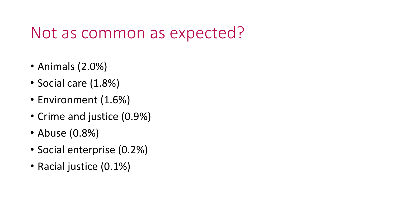### Not as common as expected?

- Animals (2.0%)
- Social care (1.8%)
- Environment (1.6%)
- Crime and justice (0.9%)
- Abuse (0.8%)
- Social enterprise (0.2%)
- Racial justice (0.1%)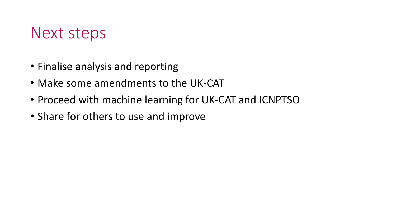#### Next steps

- Finalise analysis and reporting
- Make some amendments to the UK-CAT
- Proceed with machine learning for UK-CAT and ICNPTSO
- Share for others to use and improve